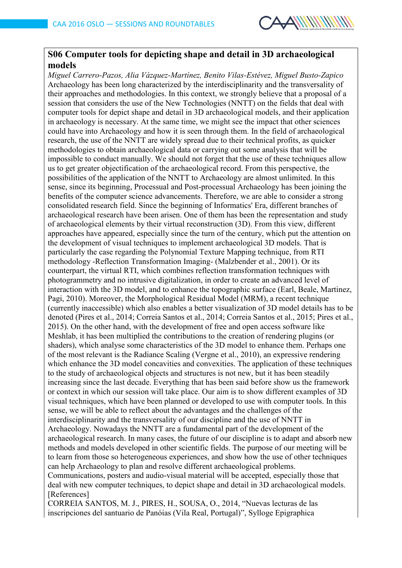

# **S06 Computer tools for depicting shape and detail in 3D archaeological models**

*Miguel Carrero-Pazos, Alia Vázquez-Martínez, Benito Vilas-Estévez, Miguel Busto-Zapico* Archaeology has been long characterized by the interdisciplinarity and the transversality of their approaches and methodologies. In this context, we strongly believe that a proposal of a session that considers the use of the New Technologies (NNTT) on the fields that deal with computer tools for depict shape and detail in 3D archaeological models, and their application in archaeology is necessary. At the same time, we might see the impact that other sciences could have into Archaeology and how it is seen through them. In the field of archaeological research, the use of the NNTT are widely spread due to their technical profits, as quicker methodologies to obtain archaeological data or carrying out some analysis that will be impossible to conduct manually. We should not forget that the use of these techniques allow us to get greater objectification of the archaeological record. From this perspective, the possibilities of the application of the NNTT to Archaeology are almost unlimited. In this sense, since its beginning, Processual and Post-processual Archaeology has been joining the benefits of the computer science advancements. Therefore, we are able to consider a strong consolidated research field. Since the beginning of Informatics' Era, different branches of archaeological research have been arisen. One of them has been the representation and study of archaeological elements by their virtual reconstruction (3D). From this view, different approaches have appeared, especially since the turn of the century, which put the attention on the development of visual techniques to implement archaeological 3D models. That is particularly the case regarding the Polynomial Texture Mapping technique, from RTI methodology -Reflection Transformation Imaging- (Malzbender et al., 2001). Or its counterpart, the virtual RTI, which combines reflection transformation techniques with photogrammetry and no intrusive digitalization, in order to create an advanced level of interaction with the 3D model, and to enhance the topographic surface (Earl, Beale, Martinez, Pagi, 2010). Moreover, the Morphological Residual Model (MRM), a recent technique (currently inaccessible) which also enables a better visualization of 3D model details has to be denoted (Pires et al., 2014; Correia Santos et al., 2014; Correia Santos et al., 2015; Pires et al., 2015). On the other hand, with the development of free and open access software like Meshlab, it has been multiplied the contributions to the creation of rendering plugins (or shaders), which analyse some characteristics of the 3D model to enhance them. Perhaps one of the most relevant is the Radiance Scaling (Vergne et al., 2010), an expressive rendering which enhance the 3D model concavities and convexities. The application of these techniques to the study of archaeological objects and structures is not new, but it has been steadily increasing since the last decade. Everything that has been said before show us the framework or context in which our session will take place. Our aim is to show different examples of 3D visual techniques, which have been planned or developed to use with computer tools. In this sense, we will be able to reflect about the advantages and the challenges of the interdisciplinarity and the transversality of our discipline and the use of NNTT in Archaeology. Nowadays the NNTT are a fundamental part of the development of the archaeological research. In many cases, the future of our discipline is to adapt and absorb new methods and models developed in other scientific fields. The purpose of our meeting will be to learn from those so heterogeneous experiences, and show how the use of other techniques can help Archaeology to plan and resolve different archaeological problems. Communications, posters and audio-visual material will be accepted, especially those that deal with new computer techniques, to depict shape and detail in 3D archaeological models. [References]

CORREIA SANTOS, M. J., PIRES, H., SOUSA, O., 2014, "Nuevas lecturas de las inscripciones del santuario de Panóias (Vila Real, Portugal)", Sylloge Epigraphica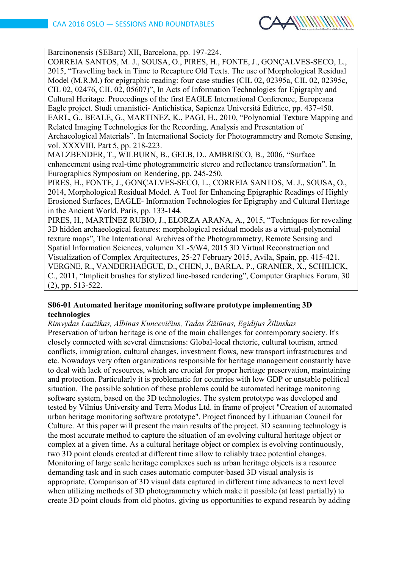

Barcinonensis (SEBarc) XII, Barcelona, pp. 197-224.

CORREIA SANTOS, M. J., SOUSA, O., PIRES, H., FONTE, J., GONÇALVES-SECO, L., 2015, "Travelling back in Time to Recapture Old Texts. The use of Morphological Residual Model (M.R.M.) for epigraphic reading: four case studies (CIL 02, 02395a, CIL 02, 02395c, CIL 02, 02476, CIL 02, 05607)", In Acts of Information Technologies for Epigraphy and Cultural Heritage. Proceedings of the first EAGLE International Conference, Europeana Eagle project. Studi umanistici- Antichistica, Sapienza Universitá Editrice, pp. 437-450. EARL, G., BEALE, G., MARTINEZ, K., PAGI, H., 2010, "Polynomial Texture Mapping and Related Imaging Technologies for the Recording, Analysis and Presentation of Archaeological Materials". In International Society for Photogrammetry and Remote Sensing, vol. XXXVIII, Part 5, pp. 218-223.

MALZBENDER, T., WILBURN, B., GELB, D., AMBRISCO, B., 2006, "Surface enhancement using real-time photogrammetric stereo and reflectance transformation". In Eurographics Symposium on Rendering, pp. 245-250.

PIRES, H., FONTE, J., GONÇALVES-SECO, L., CORREIA SANTOS, M. J., SOUSA, O., 2014, Morphological Residual Model. A Tool for Enhancing Epigraphic Readings of Highly Erosioned Surfaces, EAGLE- Information Technologies for Epigraphy and Cultural Heritage in the Ancient World. Paris, pp. 133-144.

PIRES, H., MARTÍNEZ RUBIO, J., ELORZA ARANA, A., 2015, "Techniques for revealing 3D hidden archaeological features: morphological residual models as a virtual-polynomial texture maps", The International Archives of the Photogrammetry, Remote Sensing and Spatial Information Sciences, volumen XL-5/W4, 2015 3D Virtual Reconstruction and Visualization of Complex Arquitectures, 25-27 February 2015, Avila, Spain, pp. 415-421. VERGNE, R., VANDERHAEGUE, D., CHEN, J., BARLA, P., GRANIER, X., SCHILICK, C., 2011, "Implicit brushes for stylized line-based rendering", Computer Graphics Forum, 30 (2), pp. 513-522.

# **S06-01 Automated heritage monitoring software prototype implementing 3D technologies**

*Rimvydas Laužikas, Albinas Kuncevičius, Tadas Žižiūnas, Egidijus Žilinskas* Preservation of urban heritage is one of the main challenges for contemporary society. It's closely connected with several dimensions: Global-local rhetoric, cultural tourism, armed conflicts, immigration, cultural changes, investment flows, new transport infrastructures and etc. Nowadays very often organizations responsible for heritage management constantly have to deal with lack of resources, which are crucial for proper heritage preservation, maintaining and protection. Particularly it is problematic for countries with low GDP or unstable political situation. The possible solution of these problems could be automated heritage monitoring software system, based on the 3D technologies. The system prototype was developed and tested by Vilnius University and Terra Modus Ltd. in frame of project "Creation of automated urban heritage monitoring software prototype". Project financed by Lithuanian Council for Culture. At this paper will present the main results of the project. 3D scanning technology is the most accurate method to capture the situation of an evolving cultural heritage object or complex at a given time. As a cultural heritage object or complex is evolving continuously, two 3D point clouds created at different time allow to reliably trace potential changes. Monitoring of large scale heritage complexes such as urban heritage objects is a resource demanding task and in such cases automatic computer-based 3D visual analysis is appropriate. Comparison of 3D visual data captured in different time advances to next level when utilizing methods of 3D photogrammetry which make it possible (at least partially) to create 3D point clouds from old photos, giving us opportunities to expand research by adding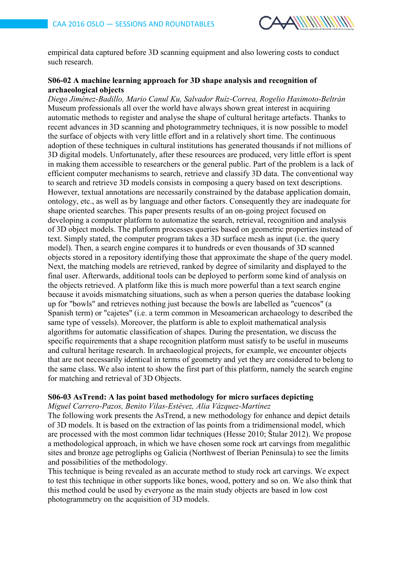

empirical data captured before 3D scanning equipment and also lowering costs to conduct such research.

### **S06-02 A machine learning approach for 3D shape analysis and recognition of archaeological objects**

*Diego Jiménez-Badillo, Mario Canul Ku, Salvador Ruíz-Correa, Rogelio Hasimoto-Beltrán* Museum professionals all over the world have always shown great interest in acquiring automatic methods to register and analyse the shape of cultural heritage artefacts. Thanks to recent advances in 3D scanning and photogrammetry techniques, it is now possible to model the surface of objects with very little effort and in a relatively short time. The continuous adoption of these techniques in cultural institutions has generated thousands if not millions of 3D digital models. Unfortunately, after these resources are produced, very little effort is spent in making them accessible to researchers or the general public. Part of the problem is a lack of efficient computer mechanisms to search, retrieve and classify 3D data. The conventional way to search and retrieve 3D models consists in composing a query based on text descriptions. However, textual annotations are necessarily constrained by the database application domain, ontology, etc., as well as by language and other factors. Consequently they are inadequate for shape oriented searches. This paper presents results of an on-going project focused on developing a computer platform to automatize the search, retrieval, recognition and analysis of 3D object models. The platform processes queries based on geometric properties instead of text. Simply stated, the computer program takes a 3D surface mesh as input (i.e. the query model). Then, a search engine compares it to hundreds or even thousands of 3D scanned objects stored in a repository identifying those that approximate the shape of the query model. Next, the matching models are retrieved, ranked by degree of similarity and displayed to the final user. Afterwards, additional tools can be deployed to perform some kind of analysis on the objects retrieved. A platform like this is much more powerful than a text search engine because it avoids mismatching situations, such as when a person queries the database looking up for "bowls" and retrieves nothing just because the bowls are labelled as "cuencos" (a Spanish term) or "cajetes" (i.e. a term common in Mesoamerican archaeology to described the same type of vessels). Moreover, the platform is able to exploit mathematical analysis algorithms for automatic classification of shapes. During the presentation, we discuss the specific requirements that a shape recognition platform must satisfy to be useful in museums and cultural heritage research. In archaeological projects, for example, we encounter objects that are not necessarily identical in terms of geometry and yet they are considered to belong to the same class. We also intent to show the first part of this platform, namely the search engine for matching and retrieval of 3D Objects.

### **S06-03 AsTrend: A las point based methodology for micro surfaces depicting**

### *Miguel Carrero-Pazos, Benito Vilas-Estévez, Alia Vázquez-Martínez*

The following work presents the AsTrend, a new methodology for enhance and depict details of 3D models. It is based on the extraction of las points from a tridimensional model, which are processed with the most common lidar techniques (Hesse 2010; Štular 2012). We propose a methodological approach, in which we have chosen some rock art carvings from megalithic sites and bronze age petrogliphs og Galicia (Northwest of Iberian Peninsula) to see the limits and possibilities of the methodology.

This technique is being revealed as an accurate method to study rock art carvings. We expect to test this technique in other supports like bones, wood, pottery and so on. We also think that this method could be used by everyone as the main study objects are based in low cost photogrammetry on the acquisition of 3D models.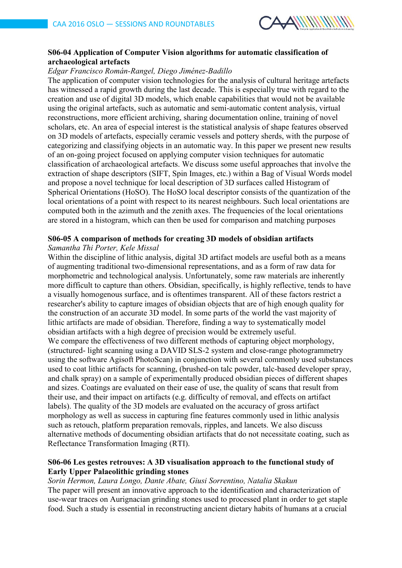

# **S06-04 Application of Computer Vision algorithms for automatic classification of archaeological artefacts**

#### *Edgar Francisco Román-Rangel, Diego Jiménez-Badillo*

The application of computer vision technologies for the analysis of cultural heritage artefacts has witnessed a rapid growth during the last decade. This is especially true with regard to the creation and use of digital 3D models, which enable capabilities that would not be available using the original artefacts, such as automatic and semi-automatic content analysis, virtual reconstructions, more efficient archiving, sharing documentation online, training of novel scholars, etc. An area of especial interest is the statistical analysis of shape features observed on 3D models of artefacts, especially ceramic vessels and pottery sherds, with the purpose of categorizing and classifying objects in an automatic way. In this paper we present new results of an on-going project focused on applying computer vision techniques for automatic classification of archaeological artefacts. We discuss some useful approaches that involve the extraction of shape descriptors (SIFT, Spin Images, etc.) within a Bag of Visual Words model and propose a novel technique for local description of 3D surfaces called Histogram of Spherical Orientations (HoSO). The HoSO local descriptor consists of the quantization of the local orientations of a point with respect to its nearest neighbours. Such local orientations are computed both in the azimuth and the zenith axes. The frequencies of the local orientations are stored in a histogram, which can then be used for comparison and matching purposes

### **S06-05 A comparison of methods for creating 3D models of obsidian artifacts**

# *Samantha Thi Porter, Kele Missal*

Within the discipline of lithic analysis, digital 3D artifact models are useful both as a means of augmenting traditional two-dimensional representations, and as a form of raw data for morphometric and technological analysis. Unfortunately, some raw materials are inherently more difficult to capture than others. Obsidian, specifically, is highly reflective, tends to have a visually homogenous surface, and is oftentimes transparent. All of these factors restrict a researcher's ability to capture images of obsidian objects that are of high enough quality for the construction of an accurate 3D model. In some parts of the world the vast majority of lithic artifacts are made of obsidian. Therefore, finding a way to systematically model obsidian artifacts with a high degree of precision would be extremely useful. We compare the effectiveness of two different methods of capturing object morphology, (structured- light scanning using a DAVID SLS-2 system and close-range photogrammetry using the software Agisoft PhotoScan) in conjunction with several commonly used substances used to coat lithic artifacts for scanning, (brushed-on talc powder, talc-based developer spray, and chalk spray) on a sample of experimentally produced obsidian pieces of different shapes and sizes. Coatings are evaluated on their ease of use, the quality of scans that result from their use, and their impact on artifacts (e.g. difficulty of removal, and effects on artifact labels). The quality of the 3D models are evaluated on the accuracy of gross artifact morphology as well as success in capturing fine features commonly used in lithic analysis such as retouch, platform preparation removals, ripples, and lancets. We also discuss alternative methods of documenting obsidian artifacts that do not necessitate coating, such as Reflectance Transformation Imaging (RTI).

### **S06-06 Les gestes retrouves: A 3D visualisation approach to the functional study of Early Upper Palaeolithic grinding stones**

#### *Sorin Hermon, Laura Longo, Dante Abate, Giusi Sorrentino, Natalia Skakun*

The paper will present an innovative approach to the identification and characterization of use-wear traces on Aurignacian grinding stones used to processed plant in order to get staple food. Such a study is essential in reconstructing ancient dietary habits of humans at a crucial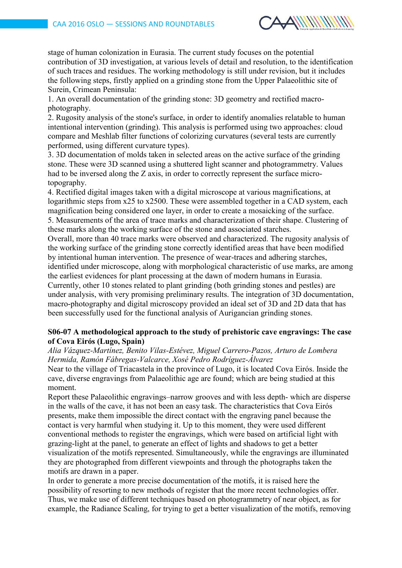

stage of human colonization in Eurasia. The current study focuses on the potential contribution of 3D investigation, at various levels of detail and resolution, to the identification of such traces and residues. The working methodology is still under revision, but it includes the following steps, firstly applied on a grinding stone from the Upper Palaeolithic site of Surein, Crimean Peninsula:

1. An overall documentation of the grinding stone: 3D geometry and rectified macrophotography.

2. Rugosity analysis of the stone's surface, in order to identify anomalies relatable to human intentional intervention (grinding). This analysis is performed using two approaches: cloud compare and Meshlab filter functions of colorizing curvatures (several tests are currently performed, using different curvature types).

3. 3D documentation of molds taken in selected areas on the active surface of the grinding stone. These were 3D scanned using a shuttered light scanner and photogrammetry. Values had to be inversed along the Z axis, in order to correctly represent the surface microtopography.

4. Rectified digital images taken with a digital microscope at various magnifications, at logarithmic steps from x25 to x2500. These were assembled together in a CAD system, each magnification being considered one layer, in order to create a mosaicking of the surface. 5. Measurements of the area of trace marks and characterization of their shape. Clustering of these marks along the working surface of the stone and associated starches.

Overall, more than 40 trace marks were observed and characterized. The rugosity analysis of the working surface of the grinding stone correctly identified areas that have been modified by intentional human intervention. The presence of wear-traces and adhering starches, identified under microscope, along with morphological characteristic of use marks, are among the earliest evidences for plant processing at the dawn of modern humans in Eurasia. Currently, other 10 stones related to plant grinding (both grinding stones and pestles) are under analysis, with very promising preliminary results. The integration of 3D documentation, macro-photography and digital microscopy provided an ideal set of 3D and 2D data that has been successfully used for the functional analysis of Aurigancian grinding stones.

### **S06-07 A methodological approach to the study of prehistoric cave engravings: The case of Cova Eirós (Lugo, Spain)**

*Alia Vázquez-Martínez, Benito Vilas-Estévez, Miguel Carrero-Pazos, Arturo de Lombera Hermida, Ramón Fábregas-Valcarce, Xosé Pedro Rodríguez-Álvarez*

Near to the village of Triacastela in the province of Lugo, it is located Cova Eirós. Inside the cave, diverse engravings from Palaeolithic age are found; which are being studied at this moment.

Report these Palaeolithic engravings–narrow grooves and with less depth- which are disperse in the walls of the cave, it has not been an easy task. The characteristics that Cova Eirós presents, make them impossible the direct contact with the engraving panel because the contact is very harmful when studying it. Up to this moment, they were used different conventional methods to register the engravings, which were based on artificial light with grazing-light at the panel, to generate an effect of lights and shadows to get a better visualization of the motifs represented. Simultaneously, while the engravings are illuminated they are photographed from different viewpoints and through the photographs taken the motifs are drawn in a paper.

In order to generate a more precise documentation of the motifs, it is raised here the possibility of resorting to new methods of register that the more recent technologies offer. Thus, we make use of different techniques based on photogrammetry of near object, as for example, the Radiance Scaling, for trying to get a better visualization of the motifs, removing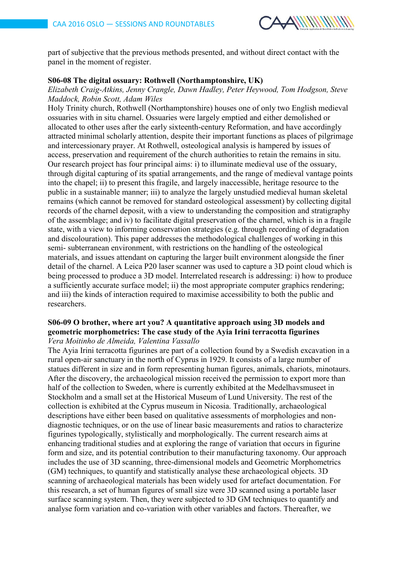

part of subjective that the previous methods presented, and without direct contact with the panel in the moment of register.

#### **S06-08 The digital ossuary: Rothwell (Northamptonshire, UK)**

*Elizabeth Craig-Atkins, Jenny Crangle, Dawn Hadley, Peter Heywood, Tom Hodgson, Steve Maddock, Robin Scott, Adam Wiles*

Holy Trinity church, Rothwell (Northamptonshire) houses one of only two English medieval ossuaries with in situ charnel. Ossuaries were largely emptied and either demolished or allocated to other uses after the early sixteenth-century Reformation, and have accordingly attracted minimal scholarly attention, despite their important functions as places of pilgrimage and intercessionary prayer. At Rothwell, osteological analysis is hampered by issues of access, preservation and requirement of the church authorities to retain the remains in situ. Our research project has four principal aims: i) to illuminate medieval use of the ossuary, through digital capturing of its spatial arrangements, and the range of medieval vantage points into the chapel; ii) to present this fragile, and largely inaccessible, heritage resource to the public in a sustainable manner; iii) to analyze the largely unstudied medieval human skeletal remains (which cannot be removed for standard osteological assessment) by collecting digital records of the charnel deposit, with a view to understanding the composition and stratigraphy of the assemblage; and iv) to facilitate digital preservation of the charnel, which is in a fragile state, with a view to informing conservation strategies (e.g. through recording of degradation and discolouration). This paper addresses the methodological challenges of working in this semi- subterranean environment, with restrictions on the handling of the osteological materials, and issues attendant on capturing the larger built environment alongside the finer detail of the charnel. A Leica P20 laser scanner was used to capture a 3D point cloud which is being processed to produce a 3D model. Interrelated research is addressing: i) how to produce a sufficiently accurate surface model; ii) the most appropriate computer graphics rendering; and iii) the kinds of interaction required to maximise accessibility to both the public and researchers.

#### **S06-09 O brother, where art you? A quantitative approach using 3D models and geometric morphometrics: The case study of the Ayia Irini terracotta figurines** *Vera Moitinho de Almeida, Valentina Vassallo*

The Ayia Irini terracotta figurines are part of a collection found by a Swedish excavation in a rural open-air sanctuary in the north of Cyprus in 1929. It consists of a large number of statues different in size and in form representing human figures, animals, chariots, minotaurs. After the discovery, the archaeological mission received the permission to export more than half of the collection to Sweden, where is currently exhibited at the Medelhavsmuseet in Stockholm and a small set at the Historical Museum of Lund University. The rest of the collection is exhibited at the Cyprus museum in Nicosia. Traditionally, archaeological descriptions have either been based on qualitative assessments of morphologies and nondiagnostic techniques, or on the use of linear basic measurements and ratios to characterize figurines typologically, stylistically and morphologically. The current research aims at enhancing traditional studies and at exploring the range of variation that occurs in figurine form and size, and its potential contribution to their manufacturing taxonomy. Our approach includes the use of 3D scanning, three-dimensional models and Geometric Morphometrics (GM) techniques, to quantify and statistically analyse these archaeological objects. 3D scanning of archaeological materials has been widely used for artefact documentation. For this research, a set of human figures of small size were 3D scanned using a portable laser surface scanning system. Then, they were subjected to 3D GM techniques to quantify and analyse form variation and co-variation with other variables and factors. Thereafter, we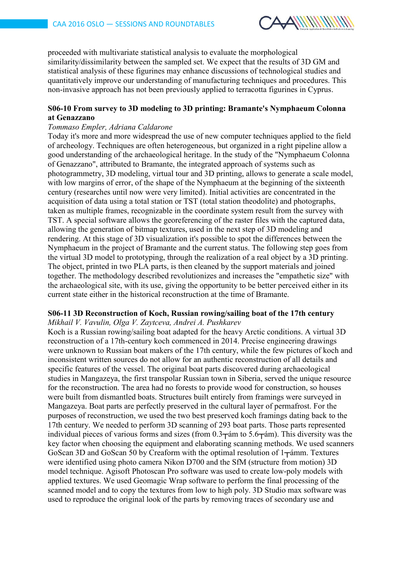

proceeded with multivariate statistical analysis to evaluate the morphological similarity/dissimilarity between the sampled set. We expect that the results of 3D GM and statistical analysis of these figurines may enhance discussions of technological studies and quantitatively improve our understanding of manufacturing techniques and procedures. This non-invasive approach has not been previously applied to terracotta figurines in Cyprus.

# **S06-10 From survey to 3D modeling to 3D printing: Bramante's Nymphaeum Colonna at Genazzano**

#### *Tommaso Empler, Adriana Caldarone*

Today it's more and more widespread the use of new computer techniques applied to the field of archeology. Techniques are often heterogeneous, but organized in a right pipeline allow a good understanding of the archaeological heritage. In the study of the "Nymphaeum Colonna of Genazzano", attributed to Bramante, the integrated approach of systems such as photogrammetry, 3D modeling, virtual tour and 3D printing, allows to generate a scale model, with low margins of error, of the shape of the Nymphaeum at the beginning of the sixteenth century (researches until now were very limited). Initial activities are concentrated in the acquisition of data using a total station or TST (total station theodolite) and photographs, taken as multiple frames, recognizable in the coordinate system result from the survey with TST. A special software allows the georeferencing of the raster files with the captured data, allowing the generation of bitmap textures, used in the next step of 3D modeling and rendering. At this stage of 3D visualization it's possible to spot the differences between the Nymphaeum in the project of Bramante and the current status. The following step goes from the virtual 3D model to prototyping, through the realization of a real object by a 3D printing. The object, printed in two PLA parts, is then cleaned by the support materials and joined together. The methodology described revolutionizes and increases the "empathetic size" with the archaeological site, with its use, giving the opportunity to be better perceived either in its current state either in the historical reconstruction at the time of Bramante.

#### **S06-11 3D Reconstruction of Koch, Russian rowing/sailing boat of the 17th century** *Mikhail V. Vavulin, Olga V. Zaytceva, Andrei A. Pushkarev*

Koch is a Russian rowing/sailing boat adapted for the heavy Arctic conditions. A virtual 3D reconstruction of a 17th-century koch commenced in 2014. Precise engineering drawings were unknown to Russian boat makers of the 17th century, while the few pictures of koch and inconsistent written sources do not allow for an authentic reconstruction of all details and specific features of the vessel. The original boat parts discovered during archaeological studies in Mangazeya, the first transpolar Russian town in Siberia, served the unique resource for the reconstruction. The area had no forests to provide wood for construction, so houses were built from dismantled boats. Structures built entirely from framings were surveyed in Mangazeya. Boat parts are perfectly preserved in the cultural layer of permafrost. For the purposes of reconstruction, we used the two best preserved koch framings dating back to the 17th century. We needed to perform 3D scanning of 293 boat parts. Those parts represented individual pieces of various forms and sizes (from  $0.3\text{-}\text{ám}$  to  $5.6\text{-}\text{ám}$ ). This diversity was the key factor when choosing the equipment and elaborating scanning methods. We used scanners GoScan 3D and GoScan 50 by Creaform with the optimal resolution of  $1\tau$ ámm. Textures were identified using photo camera Nikon D700 and the SfM (structure from motion) 3D model technique. Agisoft Photoscan Pro software was used to create low-poly models with applied textures. We used Geomagic Wrap software to perform the final processing of the scanned model and to copy the textures from low to high poly. 3D Studio max software was used to reproduce the original look of the parts by removing traces of secondary use and